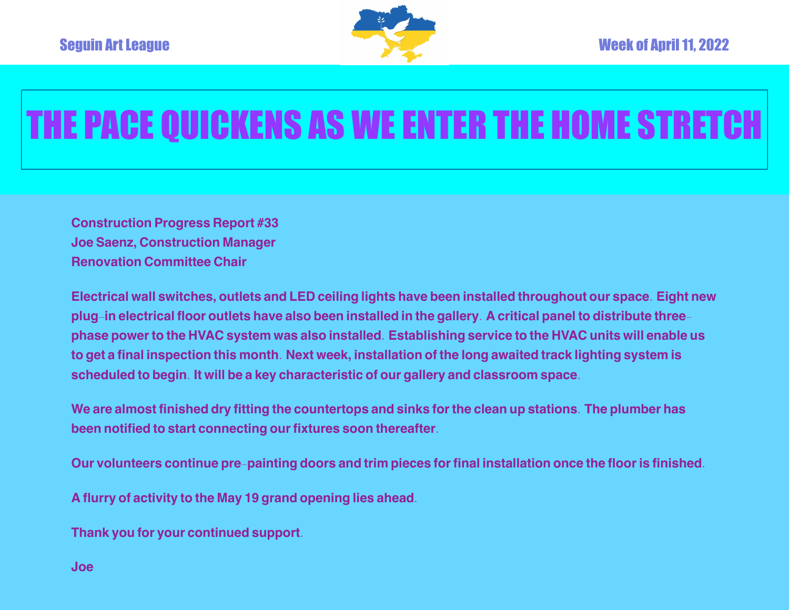

## THE PACE QUICKENS AS WE ENTER THE HOME STRETCH

**Construction Progress Report #33 Joe Saenz, Construction Manager Renovation Committee Chair**

Electrical wall switches, outlets and LED ceiling lights have been installed throughout our space. Eight new plug-in electrical floor outlets have also been installed in the gallery. A critical panel to distribute threephase power to the HVAC system was also installed. Establishing service to the HVAC units will enable us to get a final inspection this month. Next week, installation of the long awaited track lighting system is **scheduled to begin. It will be a key characteristic of our gallery and classroom space.**

We are almost finished dry fitting the countertops and sinks for the clean up stations. The plumber has **been notified to start connecting ourfixtures soon thereafter.**

Our volunteers continue pre-painting doors and trim pieces for final installation once the floor is finished.

**A flurry of activity to the May 19 grand opening lies ahead.**

**Thank you for your continued support.**

**Joe**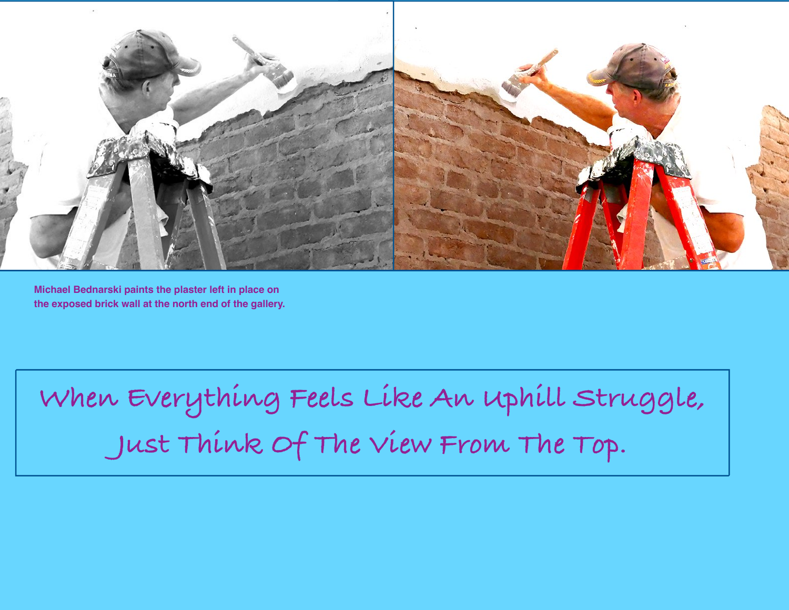

**Michael Bednarski paints the plaster left in place on the exposed brick wall at the north end of the gallery.**

**When Everything Feels Like An Uphill Struggle, Just Think Of The View From The Top.**